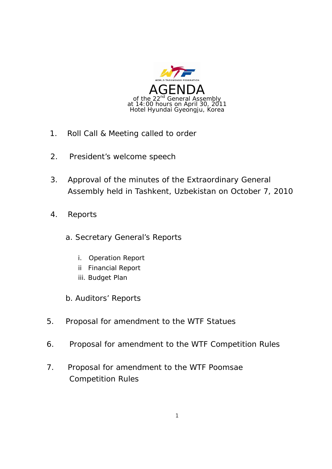

- 1. Roll Call & Meeting called to order
- 2. President's welcome speech
- 3. Approval of the minutes of the Extraordinary General Assembly held in Tashkent, Uzbekistan on October 7, 2010
- 4. Reports
	- a. Secretary General's Reports
		- i. Operation Report
		- ii Financial Report
		- iii. Budget Plan
	- b. Auditors' Reports
- 5. Proposal for amendment to the WTF Statues
- 6. Proposal for amendment to the WTF Competition Rules
- 7. Proposal for amendment to the WTF Poomsae Competition Rules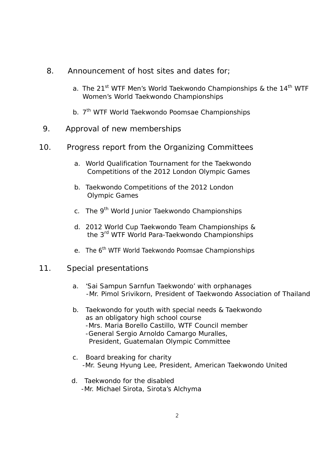- 8. Announcement of host sites and dates for;
	- a. The 21<sup>st</sup> WTF Men's World Taekwondo Championships & the 14<sup>th</sup> WTF Women's World Taekwondo Championships
	- b. 7<sup>th</sup> WTF World Taekwondo Poomsae Championships
- 9. Approval of new memberships
- 10. Progress report from the Organizing Committees
	- a. World Qualification Tournament for the Taekwondo Competitions of the 2012 London Olympic Games
	- b. Taekwondo Competitions of the 2012 London Olympic Games
	- c. The 9<sup>th</sup> World Junior Taekwondo Championships
	- d. 2012 World Cup Taekwondo Team Championships & the 3rd WTF World Para-Taekwondo Championships
	- e. The 6<sup>th</sup> WTF World Taekwondo Poomsae Championships
- 11. Special presentations
	- a. 'Sai Sampun Sarnfun Taekwondo' with orphanages -Mr. Pimol Srivikorn, President of Taekwondo Association of Thailand
	- b. Taekwondo for youth with special needs & Taekwondo as an obligatory high school course -Mrs. Maria Borello Castillo, WTF Council member -General Sergio Arnoldo Camargo Muralles, President, Guatemalan Olympic Committee
	- c. Board breaking for charity -Mr. Seung Hyung Lee, President, American Taekwondo United
	- d. Taekwondo for the disabled -Mr. Michael Sirota, Sirota's Alchyma